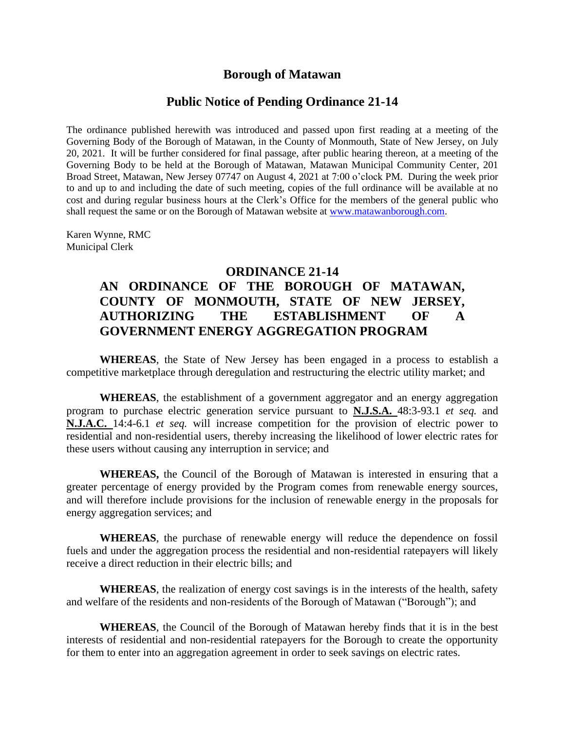## **Borough of Matawan**

## **Public Notice of Pending Ordinance 21-14**

The ordinance published herewith was introduced and passed upon first reading at a meeting of the Governing Body of the Borough of Matawan, in the County of Monmouth, State of New Jersey, on July 20, 2021. It will be further considered for final passage, after public hearing thereon, at a meeting of the Governing Body to be held at the Borough of Matawan, Matawan Municipal Community Center, 201 Broad Street, Matawan, New Jersey 07747 on August 4, 2021 at 7:00 o'clock PM. During the week prior to and up to and including the date of such meeting, copies of the full ordinance will be available at no cost and during regular business hours at the Clerk's Office for the members of the general public who shall request the same or on the Borough of Matawan website at [www.matawanborough.com.](http://www.matawanborough.com/)

Karen Wynne, RMC Municipal Clerk

## **ORDINANCE 21-14 AN ORDINANCE OF THE BOROUGH OF MATAWAN,**

## **COUNTY OF MONMOUTH, STATE OF NEW JERSEY, AUTHORIZING THE ESTABLISHMENT OF A GOVERNMENT ENERGY AGGREGATION PROGRAM**

**WHEREAS**, the State of New Jersey has been engaged in a process to establish a competitive marketplace through deregulation and restructuring the electric utility market; and

**WHEREAS**, the establishment of a government aggregator and an energy aggregation program to purchase electric generation service pursuant to **N.J.S.A.** 48:3-93.1 *et seq.* and **N.J.A.C.** 14:4-6.1 *et seq.* will increase competition for the provision of electric power to residential and non-residential users, thereby increasing the likelihood of lower electric rates for these users without causing any interruption in service; and

**WHEREAS,** the Council of the Borough of Matawan is interested in ensuring that a greater percentage of energy provided by the Program comes from renewable energy sources, and will therefore include provisions for the inclusion of renewable energy in the proposals for energy aggregation services; and

**WHEREAS**, the purchase of renewable energy will reduce the dependence on fossil fuels and under the aggregation process the residential and non-residential ratepayers will likely receive a direct reduction in their electric bills; and

**WHEREAS**, the realization of energy cost savings is in the interests of the health, safety and welfare of the residents and non-residents of the Borough of Matawan ("Borough"); and

**WHEREAS**, the Council of the Borough of Matawan hereby finds that it is in the best interests of residential and non-residential ratepayers for the Borough to create the opportunity for them to enter into an aggregation agreement in order to seek savings on electric rates.